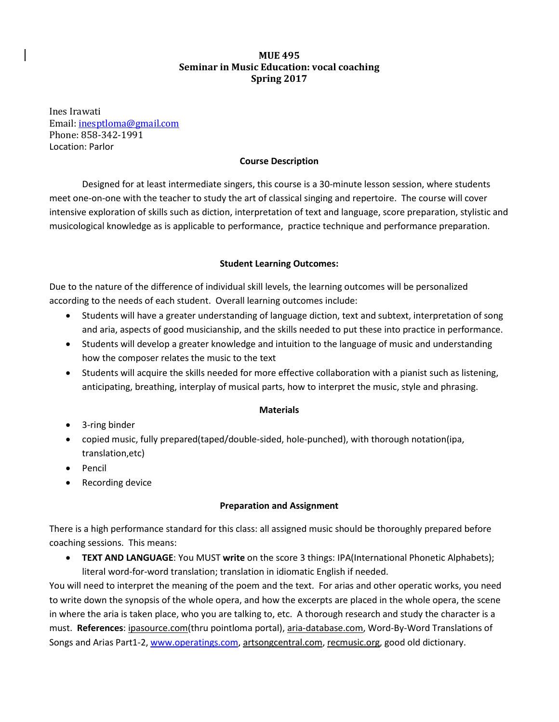# **MUE 495 Seminar in Music Education: vocal coaching Spring 2017**

Ines Irawati Email: [inesptloma@gmail.com](mailto:inesptloma@gmail.com) Phone: 858-342-1991 Location: Parlor

## **Course Description**

Designed for at least intermediate singers, this course is a 30-minute lesson session, where students meet one-on-one with the teacher to study the art of classical singing and repertoire. The course will cover intensive exploration of skills such as diction, interpretation of text and language, score preparation, stylistic and musicological knowledge as is applicable to performance, practice technique and performance preparation.

## **Student Learning Outcomes:**

Due to the nature of the difference of individual skill levels, the learning outcomes will be personalized according to the needs of each student. Overall learning outcomes include:

- Students will have a greater understanding of language diction, text and subtext, interpretation of song and aria, aspects of good musicianship, and the skills needed to put these into practice in performance.
- Students will develop a greater knowledge and intuition to the language of music and understanding how the composer relates the music to the text
- Students will acquire the skills needed for more effective collaboration with a pianist such as listening, anticipating, breathing, interplay of musical parts, how to interpret the music, style and phrasing.

### **Materials**

- 3-ring binder
- copied music, fully prepared(taped/double-sided, hole-punched), with thorough notation(ipa, translation,etc)
- Pencil
- Recording device

### **Preparation and Assignment**

There is a high performance standard for this class: all assigned music should be thoroughly prepared before coaching sessions. This means:

• **TEXT AND LANGUAGE**: You MUST **write** on the score 3 things: IPA(International Phonetic Alphabets); literal word-for-word translation; translation in idiomatic English if needed.

You will need to interpret the meaning of the poem and the text. For arias and other operatic works, you need to write down the synopsis of the whole opera, and how the excerpts are placed in the whole opera, the scene in where the aria is taken place, who you are talking to, etc. A thorough research and study the character is a must. **References**: ipasource.com(thru pointloma portal), aria-database.com, Word-By-Word Translations of Songs and Arias Part1-2, [www.operatings.com,](http://www.operatings.com/) artsongcentral.com, recmusic.org, good old dictionary.